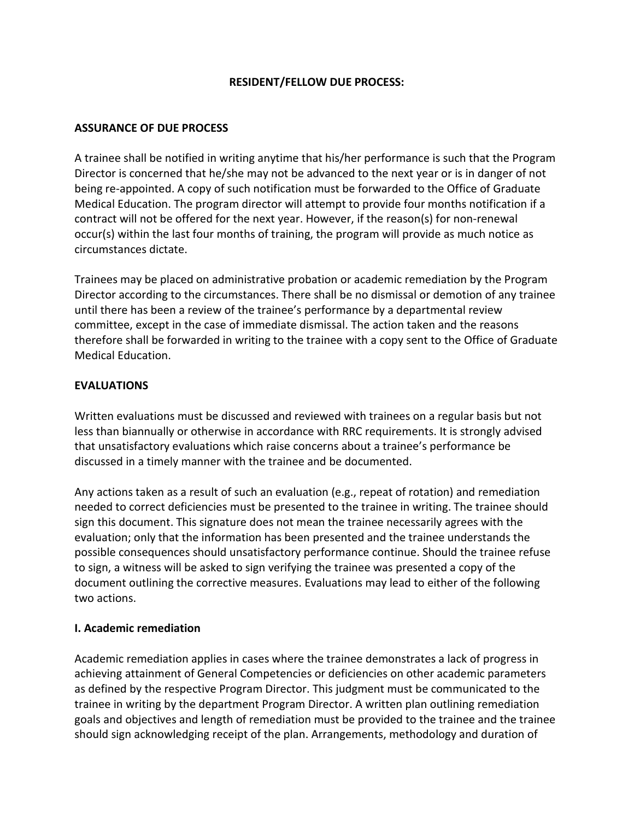#### **RESIDENT/FELLOW DUE PROCESS:**

#### **ASSURANCE OF DUE PROCESS**

A trainee shall be notified in writing anytime that his/her performance is such that the Program Director is concerned that he/she may not be advanced to the next year or is in danger of not being re-appointed. A copy of such notification must be forwarded to the Office of Graduate Medical Education. The program director will attempt to provide four months notification if a contract will not be offered for the next year. However, if the reason(s) for non-renewal occur(s) within the last four months of training, the program will provide as much notice as circumstances dictate.

Trainees may be placed on administrative probation or academic remediation by the Program Director according to the circumstances. There shall be no dismissal or demotion of any trainee until there has been a review of the trainee's performance by a departmental review committee, except in the case of immediate dismissal. The action taken and the reasons therefore shall be forwarded in writing to the trainee with a copy sent to the Office of Graduate Medical Education.

#### **EVALUATIONS**

Written evaluations must be discussed and reviewed with trainees on a regular basis but not less than biannually or otherwise in accordance with RRC requirements. It is strongly advised that unsatisfactory evaluations which raise concerns about a trainee's performance be discussed in a timely manner with the trainee and be documented.

Any actions taken as a result of such an evaluation (e.g., repeat of rotation) and remediation needed to correct deficiencies must be presented to the trainee in writing. The trainee should sign this document. This signature does not mean the trainee necessarily agrees with the evaluation; only that the information has been presented and the trainee understands the possible consequences should unsatisfactory performance continue. Should the trainee refuse to sign, a witness will be asked to sign verifying the trainee was presented a copy of the document outlining the corrective measures. Evaluations may lead to either of the following two actions.

#### **I. Academic remediation**

Academic remediation applies in cases where the trainee demonstrates a lack of progress in achieving attainment of General Competencies or deficiencies on other academic parameters as defined by the respective Program Director. This judgment must be communicated to the trainee in writing by the department Program Director. A written plan outlining remediation goals and objectives and length of remediation must be provided to the trainee and the trainee should sign acknowledging receipt of the plan. Arrangements, methodology and duration of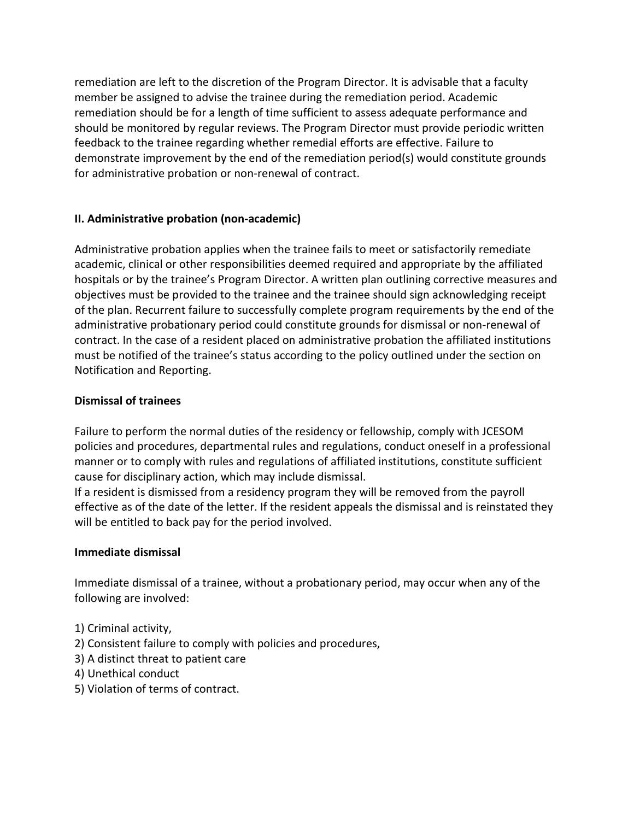remediation are left to the discretion of the Program Director. It is advisable that a faculty member be assigned to advise the trainee during the remediation period. Academic remediation should be for a length of time sufficient to assess adequate performance and should be monitored by regular reviews. The Program Director must provide periodic written feedback to the trainee regarding whether remedial efforts are effective. Failure to demonstrate improvement by the end of the remediation period(s) would constitute grounds for administrative probation or non-renewal of contract.

# **II. Administrative probation (non-academic)**

Administrative probation applies when the trainee fails to meet or satisfactorily remediate academic, clinical or other responsibilities deemed required and appropriate by the affiliated hospitals or by the trainee's Program Director. A written plan outlining corrective measures and objectives must be provided to the trainee and the trainee should sign acknowledging receipt of the plan. Recurrent failure to successfully complete program requirements by the end of the administrative probationary period could constitute grounds for dismissal or non-renewal of contract. In the case of a resident placed on administrative probation the affiliated institutions must be notified of the trainee's status according to the policy outlined under the section on Notification and Reporting.

# **Dismissal of trainees**

Failure to perform the normal duties of the residency or fellowship, comply with JCESOM policies and procedures, departmental rules and regulations, conduct oneself in a professional manner or to comply with rules and regulations of affiliated institutions, constitute sufficient cause for disciplinary action, which may include dismissal.

If a resident is dismissed from a residency program they will be removed from the payroll effective as of the date of the letter. If the resident appeals the dismissal and is reinstated they will be entitled to back pay for the period involved.

# **Immediate dismissal**

Immediate dismissal of a trainee, without a probationary period, may occur when any of the following are involved:

- 1) Criminal activity,
- 2) Consistent failure to comply with policies and procedures,
- 3) A distinct threat to patient care
- 4) Unethical conduct
- 5) Violation of terms of contract.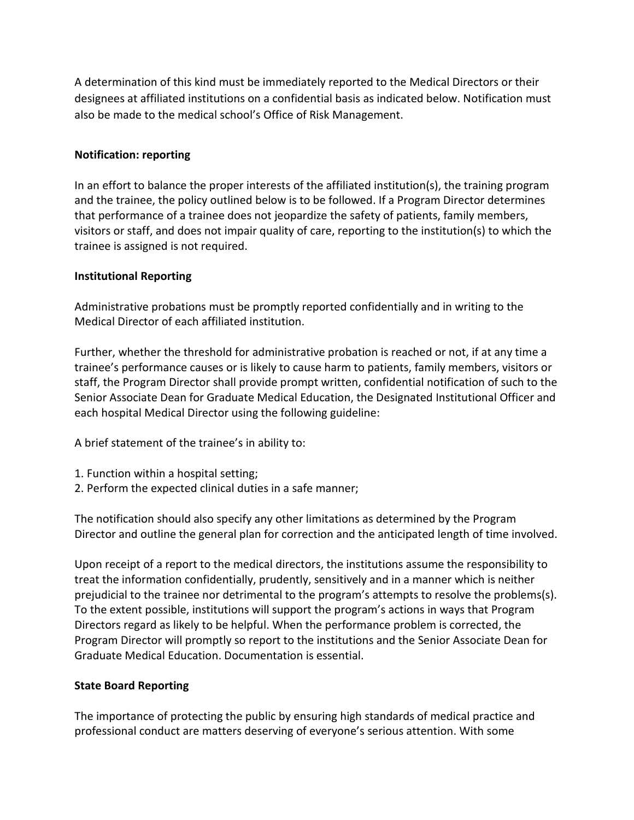A determination of this kind must be immediately reported to the Medical Directors or their designees at affiliated institutions on a confidential basis as indicated below. Notification must also be made to the medical school's Office of Risk Management.

## **Notification: reporting**

In an effort to balance the proper interests of the affiliated institution(s), the training program and the trainee, the policy outlined below is to be followed. If a Program Director determines that performance of a trainee does not jeopardize the safety of patients, family members, visitors or staff, and does not impair quality of care, reporting to the institution(s) to which the trainee is assigned is not required.

## **Institutional Reporting**

Administrative probations must be promptly reported confidentially and in writing to the Medical Director of each affiliated institution.

Further, whether the threshold for administrative probation is reached or not, if at any time a trainee's performance causes or is likely to cause harm to patients, family members, visitors or staff, the Program Director shall provide prompt written, confidential notification of such to the Senior Associate Dean for Graduate Medical Education, the Designated Institutional Officer and each hospital Medical Director using the following guideline:

A brief statement of the trainee's in ability to:

- 1. Function within a hospital setting;
- 2. Perform the expected clinical duties in a safe manner;

The notification should also specify any other limitations as determined by the Program Director and outline the general plan for correction and the anticipated length of time involved.

Upon receipt of a report to the medical directors, the institutions assume the responsibility to treat the information confidentially, prudently, sensitively and in a manner which is neither prejudicial to the trainee nor detrimental to the program's attempts to resolve the problems(s). To the extent possible, institutions will support the program's actions in ways that Program Directors regard as likely to be helpful. When the performance problem is corrected, the Program Director will promptly so report to the institutions and the Senior Associate Dean for Graduate Medical Education. Documentation is essential.

# **State Board Reporting**

The importance of protecting the public by ensuring high standards of medical practice and professional conduct are matters deserving of everyone's serious attention. With some